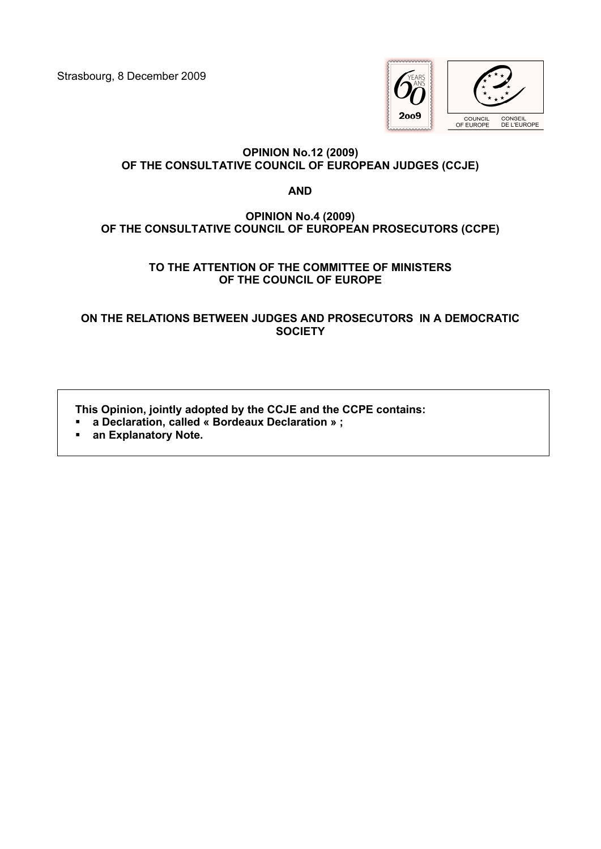Strasbourg, 8 December 2009



# **OPINION No.12 (2009) OF THE CONSULTATIVE COUNCIL OF EUROPEAN JUDGES (CCJE)**

**AND**

# **OPINION No.4 (2009) OF THE CONSULTATIVE COUNCIL OF EUROPEAN PROSECUTORS (CCPE)**

## **TO THE ATTENTION OF THE COMMITTEE OF MINISTERS OF THE COUNCIL OF EUROPE**

**ON THE RELATIONS BETWEEN JUDGES AND PROSECUTORS IN A DEMOCRATIC SOCIETY**

**This Opinion, jointly adopted by the CCJE and the CCPE contains:**

- **a Declaration, called « Bordeaux Declaration » ;**
- **an Explanatory Note.**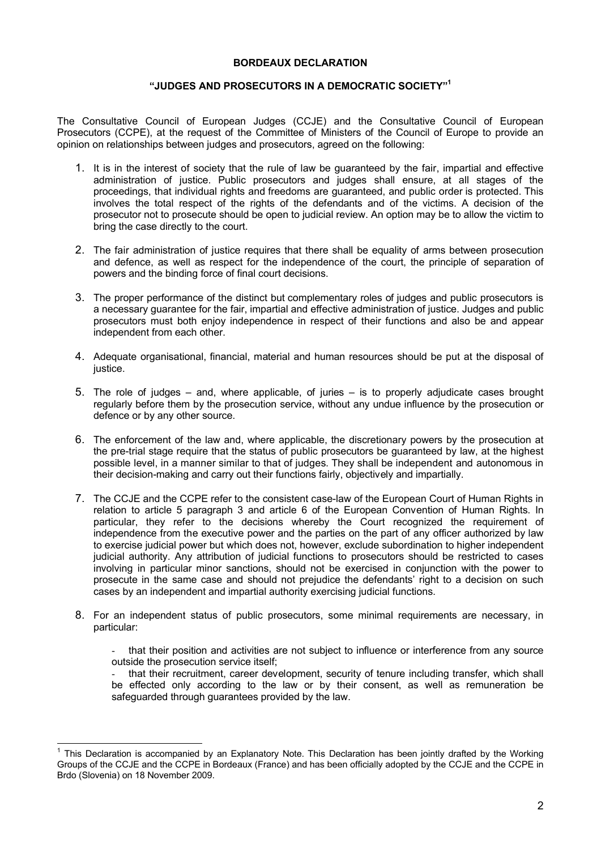#### **BORDEAUX DECLARATION**

## **"JUDGES AND PROSECUTORS IN A DEMOCRATIC SOCIETY"[1](#page-1-0)**

The Consultative Council of European Judges (CCJE) and the Consultative Council of European Prosecutors (CCPE), at the request of the Committee of Ministers of the Council of Europe to provide an opinion on relationships between judges and prosecutors, agreed on the following:

- 1. It is in the interest of society that the rule of law be guaranteed by the fair, impartial and effective administration of justice. Public prosecutors and judges shall ensure, at all stages of the proceedings, that individual rights and freedoms are guaranteed, and public order is protected. This involves the total respect of the rights of the defendants and of the victims. A decision of the prosecutor not to prosecute should be open to judicial review. An option may be to allow the victim to bring the case directly to the court.
- 2. The fair administration of justice requires that there shall be equality of arms between prosecution and defence, as well as respect for the independence of the court, the principle of separation of powers and the binding force of final court decisions.
- 3. The proper performance of the distinct but complementary roles of judges and public prosecutors is a necessary guarantee for the fair, impartial and effective administration of justice. Judges and public prosecutors must both enjoy independence in respect of their functions and also be and appear independent from each other.
- 4. Adequate organisational, financial, material and human resources should be put at the disposal of justice.
- 5. The role of judges and, where applicable, of juries is to properly adjudicate cases brought regularly before them by the prosecution service, without any undue influence by the prosecution or defence or by any other source.
- 6. The enforcement of the law and, where applicable, the discretionary powers by the prosecution at the pre-trial stage require that the status of public prosecutors be guaranteed by law, at the highest possible level, in a manner similar to that of judges. They shall be independent and autonomous in their decision-making and carry out their functions fairly, objectively and impartially.
- 7. The CCJE and the CCPE refer to the consistent case-law of the European Court of Human Rights in relation to article 5 paragraph 3 and article 6 of the European Convention of Human Rights. In particular, they refer to the decisions whereby the Court recognized the requirement of independence from the executive power and the parties on the part of any officer authorized by law to exercise judicial power but which does not, however, exclude subordination to higher independent judicial authority. Any attribution of judicial functions to prosecutors should be restricted to cases involving in particular minor sanctions, should not be exercised in conjunction with the power to prosecute in the same case and should not prejudice the defendants' right to a decision on such cases by an independent and impartial authority exercising judicial functions.
- 8. For an independent status of public prosecutors, some minimal requirements are necessary, in particular:
	- that their position and activities are not subject to influence or interference from any source outside the prosecution service itself;

that their recruitment, career development, security of tenure including transfer, which shall be effected only according to the law or by their consent, as well as remuneration be safeguarded through guarantees provided by the law.

 $\frac{1}{2}$ 

<span id="page-1-0"></span><sup>1</sup> This Declaration is accompanied by an Explanatory Note. This Declaration has been jointly drafted by the Working Groups of the CCJE and the CCPE in Bordeaux (France) and has been officially adopted by the CCJE and the CCPE in Brdo (Slovenia) on 18 November 2009.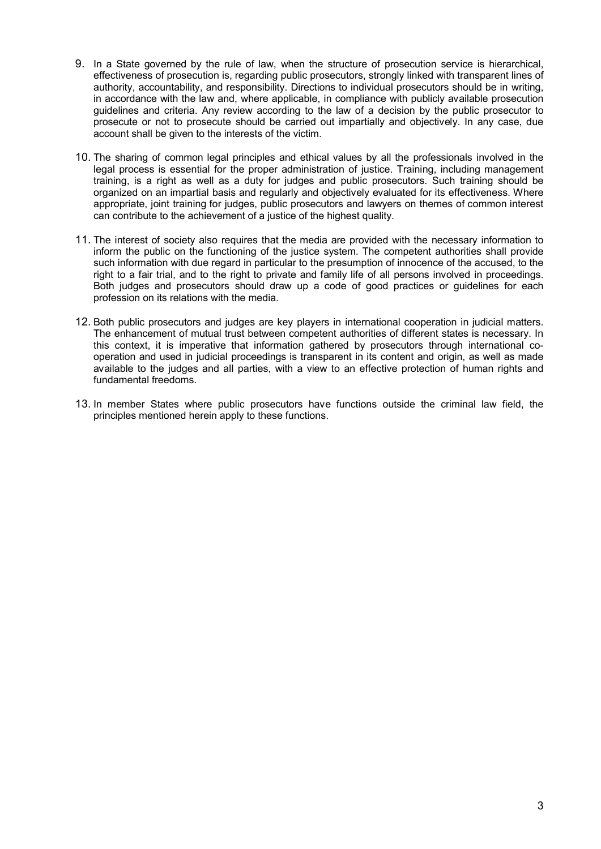- 9. In a State governed by the rule of law, when the structure of prosecution service is hierarchical, effectiveness of prosecution is, regarding public prosecutors, strongly linked with transparent lines of authority, accountability, and responsibility. Directions to individual prosecutors should be in writing, in accordance with the law and, where applicable, in compliance with publicly available prosecution guidelines and criteria. Any review according to the law of a decision by the public prosecutor to prosecute or not to prosecute should be carried out impartially and objectively. In any case, due account shall be given to the interests of the victim.
- 10. The sharing of common legal principles and ethical values by all the professionals involved in the legal process is essential for the proper administration of justice. Training, including management training, is a right as well as a duty for judges and public prosecutors. Such training should be organized on an impartial basis and regularly and objectively evaluated for its effectiveness. Where appropriate, joint training for judges, public prosecutors and lawyers on themes of common interest can contribute to the achievement of a justice of the highest quality.
- 11. The interest of society also requires that the media are provided with the necessary information to inform the public on the functioning of the justice system. The competent authorities shall provide such information with due regard in particular to the presumption of innocence of the accused, to the right to a fair trial, and to the right to private and family life of all persons involved in proceedings. Both judges and prosecutors should draw up a code of good practices or guidelines for each profession on its relations with the media.
- 12. Both public prosecutors and judges are key players in international cooperation in judicial matters. The enhancement of mutual trust between competent authorities of different states is necessary. In this context, it is imperative that information gathered by prosecutors through international cooperation and used in judicial proceedings is transparent in its content and origin, as well as made available to the judges and all parties, with a view to an effective protection of human rights and fundamental freedoms.
- 13. In member States where public prosecutors have functions outside the criminal law field, the principles mentioned herein apply to these functions.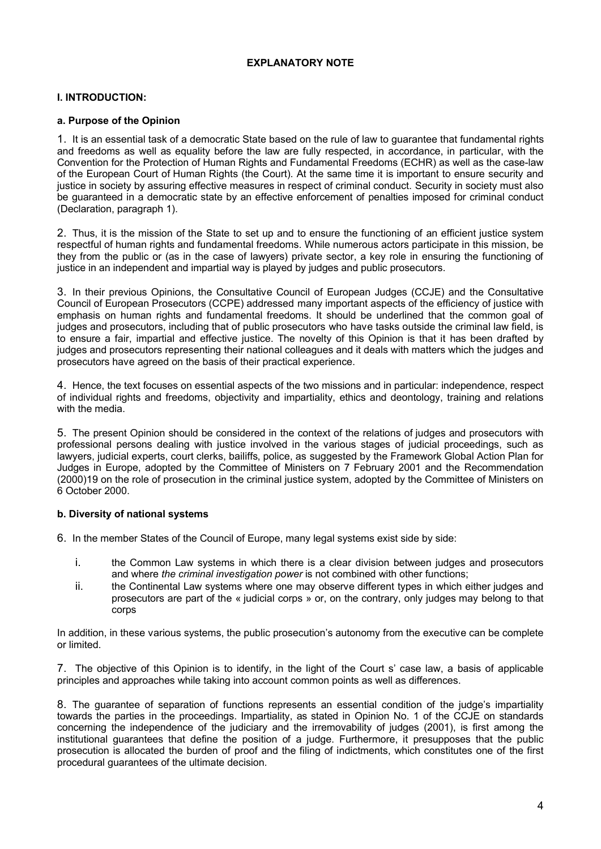## **EXPLANATORY NOTE**

## **I. INTRODUCTION:**

## **a. Purpose of the Opinion**

1. It is an essential task of a democratic State based on the rule of law to guarantee that fundamental rights and freedoms as well as equality before the law are fully respected, in accordance, in particular, with the Convention for the Protection of Human Rights and Fundamental Freedoms (ECHR) as well as the case-law of the European Court of Human Rights (the Court). At the same time it is important to ensure security and justice in society by assuring effective measures in respect of criminal conduct. Security in society must also be guaranteed in a democratic state by an effective enforcement of penalties imposed for criminal conduct (Declaration, paragraph 1).

2. Thus, it is the mission of the State to set up and to ensure the functioning of an efficient justice system respectful of human rights and fundamental freedoms. While numerous actors participate in this mission, be they from the public or (as in the case of lawyers) private sector, a key role in ensuring the functioning of justice in an independent and impartial way is played by judges and public prosecutors.

3. In their previous Opinions, the Consultative Council of European Judges (CCJE) and the Consultative Council of European Prosecutors (CCPE) addressed many important aspects of the efficiency of justice with emphasis on human rights and fundamental freedoms. It should be underlined that the common goal of judges and prosecutors, including that of public prosecutors who have tasks outside the criminal law field, is to ensure a fair, impartial and effective justice. The novelty of this Opinion is that it has been drafted by judges and prosecutors representing their national colleagues and it deals with matters which the judges and prosecutors have agreed on the basis of their practical experience.

4. Hence, the text focuses on essential aspects of the two missions and in particular: independence, respect of individual rights and freedoms, objectivity and impartiality, ethics and deontology, training and relations with the media.

5. The present Opinion should be considered in the context of the relations of judges and prosecutors with professional persons dealing with justice involved in the various stages of judicial proceedings, such as lawyers, judicial experts, court clerks, bailiffs, police, as suggested by the Framework Global Action Plan for Judges in Europe, adopted by the Committee of Ministers on 7 February 2001 and the Recommendation (2000)19 on the role of prosecution in the criminal justice system, adopted by the Committee of Ministers on 6 October 2000.

## **b. Diversity of national systems**

6. In the member States of the Council of Europe, many legal systems exist side by side:

- i. the Common Law systems in which there is a clear division between judges and prosecutors and where *the criminal investigation power* is not combined with other functions;
- ii. the Continental Law systems where one may observe different types in which either judges and prosecutors are part of the « judicial corps » or, on the contrary, only judges may belong to that corps

In addition, in these various systems, the public prosecution's autonomy from the executive can be complete or limited.

7. The objective of this Opinion is to identify, in the light of the Court s' case law, a basis of applicable principles and approaches while taking into account common points as well as differences.

8. The guarantee of separation of functions represents an essential condition of the judge's impartiality towards the parties in the proceedings. Impartiality, as stated in Opinion No. 1 of the CCJE on standards concerning the independence of the judiciary and the irremovability of judges (2001), is first among the institutional guarantees that define the position of a judge. Furthermore, it presupposes that the public prosecution is allocated the burden of proof and the filing of indictments, which constitutes one of the first procedural guarantees of the ultimate decision.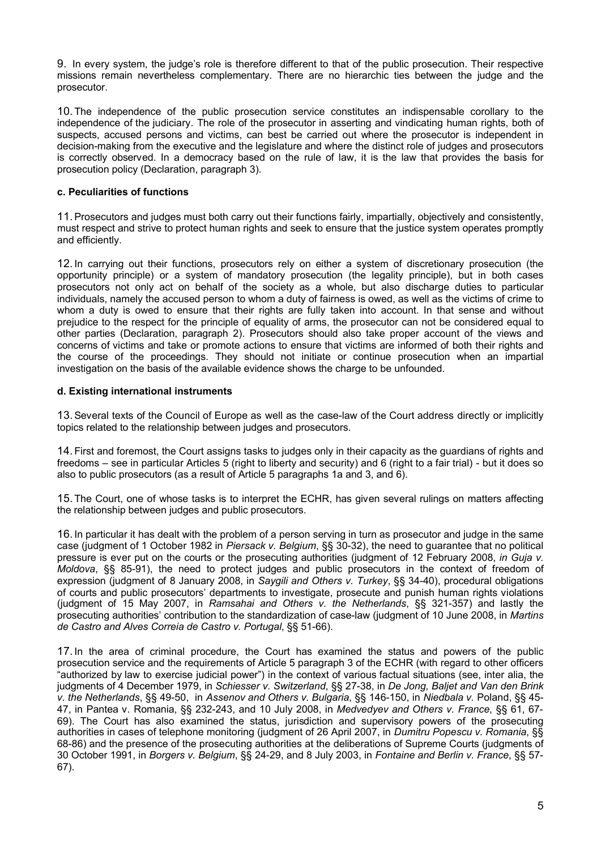9. In every system, the judge's role is therefore different to that of the public prosecution. Their respective missions remain nevertheless complementary. There are no hierarchic ties between the judge and the prosecutor.

10.The independence of the public prosecution service constitutes an indispensable corollary to the independence of the judiciary. The role of the prosecutor in asserting and vindicating human rights, both of suspects, accused persons and victims, can best be carried out where the prosecutor is independent in decision-making from the executive and the legislature and where the distinct role of judges and prosecutors is correctly observed. In a democracy based on the rule of law, it is the law that provides the basis for prosecution policy (Declaration, paragraph 3).

## **c. Peculiarities of functions**

11.Prosecutors and judges must both carry out their functions fairly, impartially, objectively and consistently, must respect and strive to protect human rights and seek to ensure that the justice system operates promptly and efficiently.

12.In carrying out their functions, prosecutors rely on either a system of discretionary prosecution (the opportunity principle) or a system of mandatory prosecution (the legality principle), but in both cases prosecutors not only act on behalf of the society as a whole, but also discharge duties to particular individuals, namely the accused person to whom a duty of fairness is owed, as well as the victims of crime to whom a duty is owed to ensure that their rights are fully taken into account. In that sense and without prejudice to the respect for the principle of equality of arms, the prosecutor can not be considered equal to other parties (Declaration, paragraph 2). Prosecutors should also take proper account of the views and concerns of victims and take or promote actions to ensure that victims are informed of both their rights and the course of the proceedings. They should not initiate or continue prosecution when an impartial investigation on the basis of the available evidence shows the charge to be unfounded.

## **d. Existing international instruments**

13.Several texts of the Council of Europe as well as the case-law of the Court address directly or implicitly topics related to the relationship between judges and prosecutors.

14.First and foremost, the Court assigns tasks to judges only in their capacity as the guardians of rights and freedoms – see in particular Articles 5 (right to liberty and security) and 6 (right to a fair trial) - but it does so also to public prosecutors (as a result of Article 5 paragraphs 1a and 3, and 6).

15.The Court, one of whose tasks is to interpret the ECHR, has given several rulings on matters affecting the relationship between judges and public prosecutors.

16.In particular it has dealt with the problem of a person serving in turn as prosecutor and judge in the same case (judgment of 1 October 1982 in *Piersack v. Belgium*, §§ 30-32), the need to guarantee that no political pressure is ever put on the courts or the prosecuting authorities (judgment of 12 February 2008, *in Guja v. Moldova*, §§ 85-91), the need to protect judges and public prosecutors in the context of freedom of expression (judgment of 8 January 2008, in *Saygili and Others v. Turkey*, §§ 34-40), procedural obligations of courts and public prosecutors' departments to investigate, prosecute and punish human rights violations (judgment of 15 May 2007, in *Ramsahai and Others v. the Netherlands*, §§ 321-357) and lastly the prosecuting authorities' contribution to the standardization of case-law (judgment of 10 June 2008, in *Martins de Castro and Alves Correia de Castro v. Portugal*, §§ 51-66).

17.In the area of criminal procedure, the Court has examined the status and powers of the public prosecution service and the requirements of Article 5 paragraph 3 of the ECHR (with regard to other officers "authorized by law to exercise judicial power") in the context of various factual situations (see, inter alia, the judgments of 4 December 1979, in *Schiesser v. Switzerland*, §§ 27-38, in *De Jong, Baljet and Van den Brink v. the Netherlands*, §§ 49-50, in *Assenov and Others v. Bulgaria*, §§ 146-150, in *Niedbala v.* Poland, §§ 45- 47, in Pantea v. Romania, §§ 232-243, and 10 July 2008, in *Medvedyev and Others v. France*, §§ 61, 67- 69). The Court has also examined the status, jurisdiction and supervisory powers of the prosecuting authorities in cases of telephone monitoring (judgment of 26 April 2007, in *Dumitru Popescu v. Romania*, §§ 68-86) and the presence of the prosecuting authorities at the deliberations of Supreme Courts (judgments of 30 October 1991, in *Borgers v. Belgium*, §§ 24-29, and 8 July 2003, in *Fontaine and Berlin v. France*, §§ 57- 67).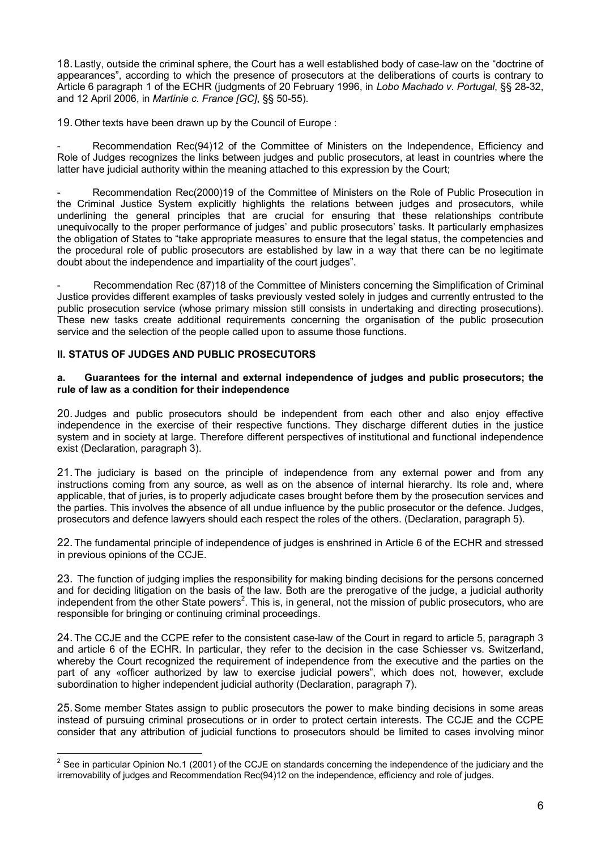18. Lastly, outside the criminal sphere, the Court has a well established body of case-law on the "doctrine of appearances", according to which the presence of prosecutors at the deliberations of courts is contrary to Article 6 paragraph 1 of the ECHR (judgments of 20 February 1996, in *Lobo Machado v. Portugal*, §§ 28-32, and 12 April 2006, in *Martinie c. France [GC]*, §§ 50-55).

19.Other texts have been drawn up by the Council of Europe :

Recommendation Rec(94)12 of the Committee of Ministers on the Independence, Efficiency and Role of Judges recognizes the links between judges and public prosecutors, at least in countries where the latter have judicial authority within the meaning attached to this expression by the Court;

Recommendation Rec(2000)19 of the Committee of Ministers on the Role of Public Prosecution in the Criminal Justice System explicitly highlights the relations between judges and prosecutors, while underlining the general principles that are crucial for ensuring that these relationships contribute unequivocally to the proper performance of judges' and public prosecutors' tasks. It particularly emphasizes the obligation of States to "take appropriate measures to ensure that the legal status, the competencies and the procedural role of public prosecutors are established by law in a way that there can be no legitimate doubt about the independence and impartiality of the court judges".

Recommendation Rec (87)18 of the Committee of Ministers concerning the Simplification of Criminal Justice provides different examples of tasks previously vested solely in judges and currently entrusted to the public prosecution service (whose primary mission still consists in undertaking and directing prosecutions). These new tasks create additional requirements concerning the organisation of the public prosecution service and the selection of the people called upon to assume those functions.

## **II. STATUS OF JUDGES AND PUBLIC PROSECUTORS**

1

#### **a. Guarantees for the internal and external independence of judges and public prosecutors; the rule of law as a condition for their independence**

20. Judges and public prosecutors should be independent from each other and also enjoy effective independence in the exercise of their respective functions. They discharge different duties in the justice system and in society at large. Therefore different perspectives of institutional and functional independence exist (Declaration, paragraph 3).

21.The judiciary is based on the principle of independence from any external power and from any instructions coming from any source, as well as on the absence of internal hierarchy. Its role and, where applicable, that of juries, is to properly adjudicate cases brought before them by the prosecution services and the parties. This involves the absence of all undue influence by the public prosecutor or the defence. Judges, prosecutors and defence lawyers should each respect the roles of the others. (Declaration, paragraph 5).

22.The fundamental principle of independence of judges is enshrined in Article 6 of the ECHR and stressed in previous opinions of the CCJE.

23. The function of judging implies the responsibility for making binding decisions for the persons concerned and for deciding litigation on the basis of the law. Both are the prerogative of the judge, a judicial authority independent from the other State powers<sup>[2](#page-5-0)</sup>. This is, in general, not the mission of public prosecutors, who are responsible for bringing or continuing criminal proceedings.

24.The CCJE and the CCPE refer to the consistent case-law of the Court in regard to article 5, paragraph 3 and article 6 of the ECHR. In particular, they refer to the decision in the case Schiesser vs. Switzerland, whereby the Court recognized the requirement of independence from the executive and the parties on the part of any «officer authorized by law to exercise judicial powers", which does not, however, exclude subordination to higher independent judicial authority (Declaration, paragraph 7).

25.Some member States assign to public prosecutors the power to make binding decisions in some areas instead of pursuing criminal prosecutions or in order to protect certain interests. The CCJE and the CCPE consider that any attribution of judicial functions to prosecutors should be limited to cases involving minor

<span id="page-5-0"></span><sup>&</sup>lt;sup>2</sup> See in particular Opinion No.1 (2001) of the CCJE on standards concerning the independence of the judiciary and the irremovability of judges and Recommendation Rec(94)12 on the independence, efficiency and role of judges.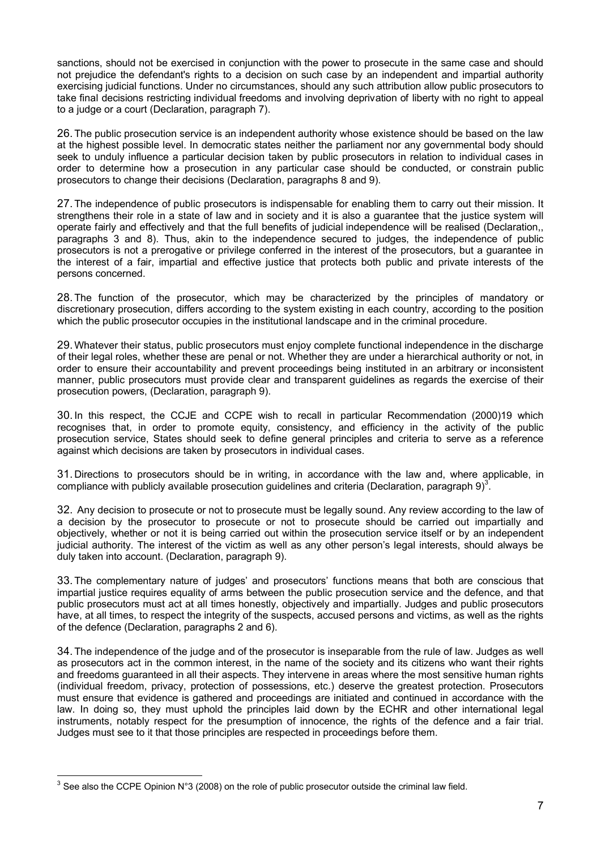sanctions, should not be exercised in conjunction with the power to prosecute in the same case and should not prejudice the defendant's rights to a decision on such case by an independent and impartial authority exercising judicial functions. Under no circumstances, should any such attribution allow public prosecutors to take final decisions restricting individual freedoms and involving deprivation of liberty with no right to appeal to a judge or a court (Declaration, paragraph 7).

26.The public prosecution service is an independent authority whose existence should be based on the law at the highest possible level. In democratic states neither the parliament nor any governmental body should seek to unduly influence a particular decision taken by public prosecutors in relation to individual cases in order to determine how a prosecution in any particular case should be conducted, or constrain public prosecutors to change their decisions (Declaration, paragraphs 8 and 9).

27.The independence of public prosecutors is indispensable for enabling them to carry out their mission. It strengthens their role in a state of law and in society and it is also a guarantee that the justice system will operate fairly and effectively and that the full benefits of judicial independence will be realised (Declaration,, paragraphs 3 and 8). Thus, akin to the independence secured to judges, the independence of public prosecutors is not a prerogative or privilege conferred in the interest of the prosecutors, but a guarantee in the interest of a fair, impartial and effective justice that protects both public and private interests of the persons concerned.

28.The function of the prosecutor, which may be characterized by the principles of mandatory or discretionary prosecution, differs according to the system existing in each country, according to the position which the public prosecutor occupies in the institutional landscape and in the criminal procedure.

29.Whatever their status, public prosecutors must enjoy complete functional independence in the discharge of their legal roles, whether these are penal or not. Whether they are under a hierarchical authority or not, in order to ensure their accountability and prevent proceedings being instituted in an arbitrary or inconsistent manner, public prosecutors must provide clear and transparent guidelines as regards the exercise of their prosecution powers, (Declaration, paragraph 9).

30.In this respect, the CCJE and CCPE wish to recall in particular Recommendation (2000)19 which recognises that, in order to promote equity, consistency, and efficiency in the activity of the public prosecution service, States should seek to define general principles and criteria to serve as a reference against which decisions are taken by prosecutors in individual cases.

31. Directions to prosecutors should be in writing, in accordance with the law and, where applicable, in compliance with publicly available prosecution guidelines and criteria (Declaration, paragraph  $9^3$  $9^3$ .

32. Any decision to prosecute or not to prosecute must be legally sound. Any review according to the law of a decision by the prosecutor to prosecute or not to prosecute should be carried out impartially and objectively, whether or not it is being carried out within the prosecution service itself or by an independent judicial authority. The interest of the victim as well as any other person's legal interests, should always be duly taken into account. (Declaration, paragraph 9).

33.The complementary nature of judges' and prosecutors' functions means that both are conscious that impartial justice requires equality of arms between the public prosecution service and the defence, and that public prosecutors must act at all times honestly, objectively and impartially. Judges and public prosecutors have, at all times, to respect the integrity of the suspects, accused persons and victims, as well as the rights of the defence (Declaration, paragraphs 2 and 6).

34.The independence of the judge and of the prosecutor is inseparable from the rule of law. Judges as well as prosecutors act in the common interest, in the name of the society and its citizens who want their rights and freedoms guaranteed in all their aspects. They intervene in areas where the most sensitive human rights (individual freedom, privacy, protection of possessions, etc.) deserve the greatest protection. Prosecutors must ensure that evidence is gathered and proceedings are initiated and continued in accordance with the law. In doing so, they must uphold the principles laid down by the ECHR and other international legal instruments, notably respect for the presumption of innocence, the rights of the defence and a fair trial. Judges must see to it that those principles are respected in proceedings before them.

1

<span id="page-6-0"></span> $3$  See also the CCPE Opinion N°3 (2008) on the role of public prosecutor outside the criminal law field.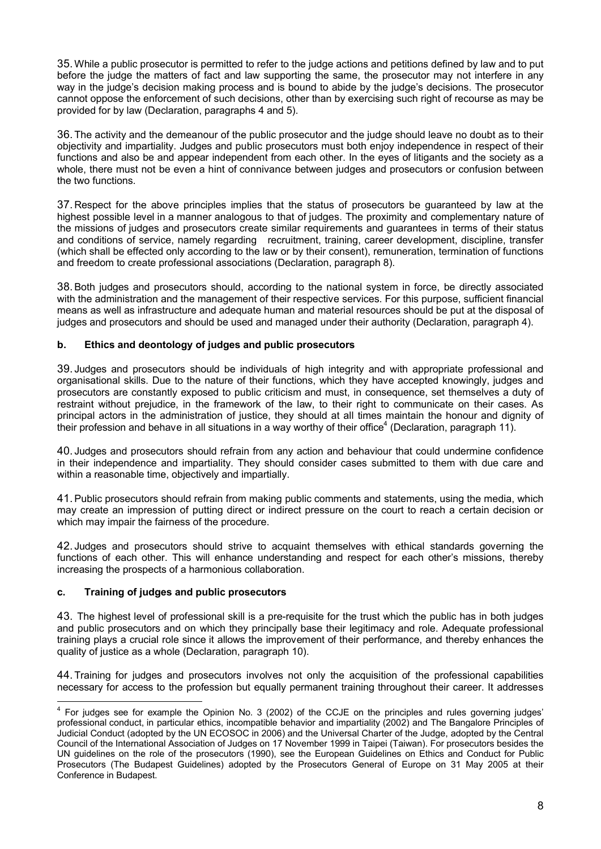35.While a public prosecutor is permitted to refer to the judge actions and petitions defined by law and to put before the judge the matters of fact and law supporting the same, the prosecutor may not interfere in any way in the judge's decision making process and is bound to abide by the judge's decisions. The prosecutor cannot oppose the enforcement of such decisions, other than by exercising such right of recourse as may be provided for by law (Declaration, paragraphs 4 and 5).

36.The activity and the demeanour of the public prosecutor and the judge should leave no doubt as to their objectivity and impartiality. Judges and public prosecutors must both enjoy independence in respect of their functions and also be and appear independent from each other. In the eyes of litigants and the society as a whole, there must not be even a hint of connivance between judges and prosecutors or confusion between the two functions.

37. Respect for the above principles implies that the status of prosecutors be guaranteed by law at the highest possible level in a manner analogous to that of judges. The proximity and complementary nature of the missions of judges and prosecutors create similar requirements and guarantees in terms of their status and conditions of service, namely regarding recruitment, training, career development, discipline, transfer (which shall be effected only according to the law or by their consent), remuneration, termination of functions and freedom to create professional associations (Declaration, paragraph 8).

38.Both judges and prosecutors should, according to the national system in force, be directly associated with the administration and the management of their respective services. For this purpose, sufficient financial means as well as infrastructure and adequate human and material resources should be put at the disposal of judges and prosecutors and should be used and managed under their authority (Declaration, paragraph 4).

## **b. Ethics and deontology of judges and public prosecutors**

39. Judges and prosecutors should be individuals of high integrity and with appropriate professional and organisational skills. Due to the nature of their functions, which they have accepted knowingly, judges and prosecutors are constantly exposed to public criticism and must, in consequence, set themselves a duty of restraint without prejudice, in the framework of the law, to their right to communicate on their cases. As principal actors in the administration of justice, they should at all times maintain the honour and dignity of their profession and behave in all situations in a way worthy of their office<sup>[4](#page-7-0)</sup> (Declaration, paragraph 11).

40. Judges and prosecutors should refrain from any action and behaviour that could undermine confidence in their independence and impartiality. They should consider cases submitted to them with due care and within a reasonable time, objectively and impartially.

41.Public prosecutors should refrain from making public comments and statements, using the media, which may create an impression of putting direct or indirect pressure on the court to reach a certain decision or which may impair the fairness of the procedure.

42. Judges and prosecutors should strive to acquaint themselves with ethical standards governing the functions of each other. This will enhance understanding and respect for each other's missions, thereby increasing the prospects of a harmonious collaboration.

## **c. Training of judges and public prosecutors**

43. The highest level of professional skill is a pre-requisite for the trust which the public has in both judges and public prosecutors and on which they principally base their legitimacy and role. Adequate professional training plays a crucial role since it allows the improvement of their performance, and thereby enhances the quality of justice as a whole (Declaration, paragraph 10).

44.Training for judges and prosecutors involves not only the acquisition of the professional capabilities necessary for access to the profession but equally permanent training throughout their career. It addresses

<span id="page-7-0"></span><sup>-&</sup>lt;br>4 For judges see for example the Opinion No. 3 (2002) of the CCJE on the principles and rules governing judges' professional conduct, in particular ethics, incompatible behavior and impartiality (2002) and The Bangalore Principles of Judicial Conduct (adopted by the UN ECOSOC in 2006) and the Universal Charter of the Judge, adopted by the Central Council of the International Association of Judges on 17 November 1999 in Taipei (Taiwan). For prosecutors besides the UN guidelines on the role of the prosecutors (1990), see the European Guidelines on Ethics and Conduct for Public Prosecutors (The Budapest Guidelines) adopted by the Prosecutors General of Europe on 31 May 2005 at their Conference in Budapest.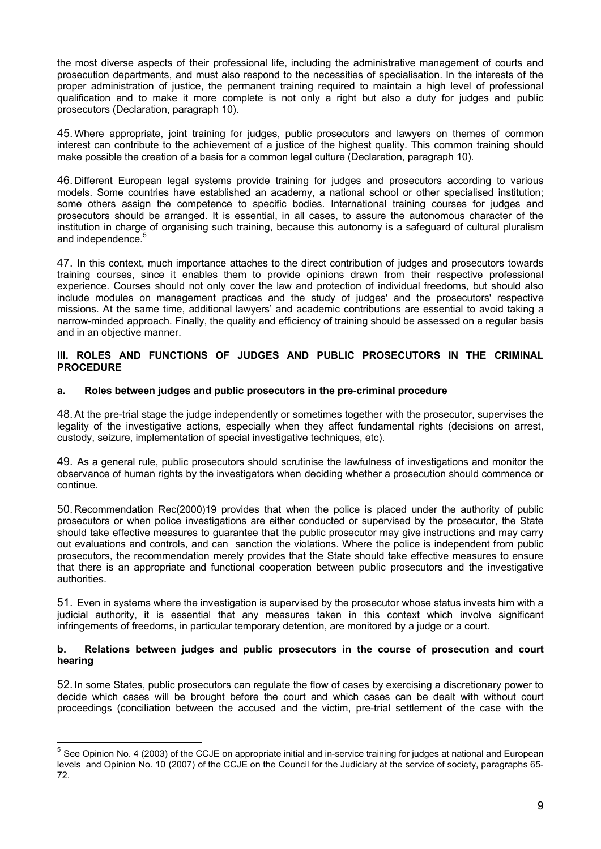the most diverse aspects of their professional life, including the administrative management of courts and prosecution departments, and must also respond to the necessities of specialisation. In the interests of the proper administration of justice, the permanent training required to maintain a high level of professional qualification and to make it more complete is not only a right but also a duty for judges and public prosecutors (Declaration, paragraph 10).

45.Where appropriate, joint training for judges, public prosecutors and lawyers on themes of common interest can contribute to the achievement of a justice of the highest quality. This common training should make possible the creation of a basis for a common legal culture (Declaration, paragraph 10).

46. Different European legal systems provide training for judges and prosecutors according to various models. Some countries have established an academy, a national school or other specialised institution; some others assign the competence to specific bodies. International training courses for judges and prosecutors should be arranged. It is essential, in all cases, to assure the autonomous character of the institution in charge of organising such training, because this autonomy is a safeguard of cultural pluralism and independence. [5](#page-8-0)

47. In this context, much importance attaches to the direct contribution of judges and prosecutors towards training courses, since it enables them to provide opinions drawn from their respective professional experience. Courses should not only cover the law and protection of individual freedoms, but should also include modules on management practices and the study of judges' and the prosecutors' respective missions. At the same time, additional lawyers' and academic contributions are essential to avoid taking a narrow-minded approach. Finally, the quality and efficiency of training should be assessed on a regular basis and in an objective manner.

#### **III. ROLES AND FUNCTIONS OF JUDGES AND PUBLIC PROSECUTORS IN THE CRIMINAL PROCEDURE**

## **a. Roles between judges and public prosecutors in the pre-criminal procedure**

48.At the pre-trial stage the judge independently or sometimes together with the prosecutor, supervises the legality of the investigative actions, especially when they affect fundamental rights (decisions on arrest, custody, seizure, implementation of special investigative techniques, etc).

49. As a general rule, public prosecutors should scrutinise the lawfulness of investigations and monitor the observance of human rights by the investigators when deciding whether a prosecution should commence or continue.

50. Recommendation Rec(2000)19 provides that when the police is placed under the authority of public prosecutors or when police investigations are either conducted or supervised by the prosecutor, the State should take effective measures to guarantee that the public prosecutor may give instructions and may carry out evaluations and controls, and can sanction the violations. Where the police is independent from public prosecutors, the recommendation merely provides that the State should take effective measures to ensure that there is an appropriate and functional cooperation between public prosecutors and the investigative authorities.

51. Even in systems where the investigation is supervised by the prosecutor whose status invests him with a judicial authority, it is essential that any measures taken in this context which involve significant infringements of freedoms, in particular temporary detention, are monitored by a judge or a court.

## **b. Relations between judges and public prosecutors in the course of prosecution and court hearing**

52.In some States, public prosecutors can regulate the flow of cases by exercising a discretionary power to decide which cases will be brought before the court and which cases can be dealt with without court proceedings (conciliation between the accused and the victim, pre-trial settlement of the case with the

1

<span id="page-8-0"></span><sup>&</sup>lt;sup>5</sup> See Opinion No. 4 (2003) of the CCJE on appropriate initial and in-service training for judges at national and European levels and Opinion No. 10 (2007) of the CCJE on the Council for the Judiciary at the service of society, paragraphs 65- 72.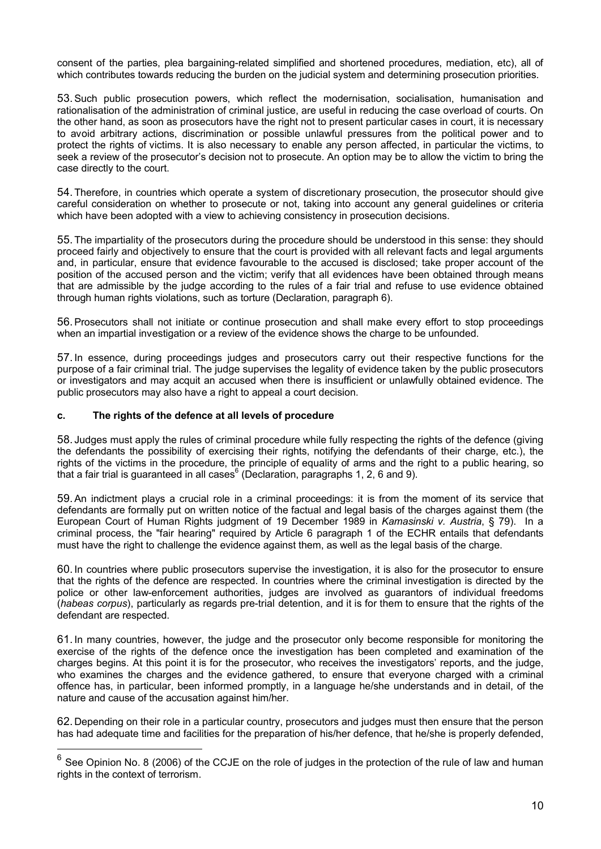consent of the parties, plea bargaining-related simplified and shortened procedures, mediation, etc), all of which contributes towards reducing the burden on the judicial system and determining prosecution priorities.

53.Such public prosecution powers, which reflect the modernisation, socialisation, humanisation and rationalisation of the administration of criminal justice, are useful in reducing the case overload of courts. On the other hand, as soon as prosecutors have the right not to present particular cases in court, it is necessary to avoid arbitrary actions, discrimination or possible unlawful pressures from the political power and to protect the rights of victims. It is also necessary to enable any person affected, in particular the victims, to seek a review of the prosecutor's decision not to prosecute. An option may be to allow the victim to bring the case directly to the court.

54.Therefore, in countries which operate a system of discretionary prosecution, the prosecutor should give careful consideration on whether to prosecute or not, taking into account any general guidelines or criteria which have been adopted with a view to achieving consistency in prosecution decisions.

55.The impartiality of the prosecutors during the procedure should be understood in this sense: they should proceed fairly and objectively to ensure that the court is provided with all relevant facts and legal arguments and, in particular, ensure that evidence favourable to the accused is disclosed; take proper account of the position of the accused person and the victim; verify that all evidences have been obtained through means that are admissible by the judge according to the rules of a fair trial and refuse to use evidence obtained through human rights violations, such as torture (Declaration, paragraph 6).

56.Prosecutors shall not initiate or continue prosecution and shall make every effort to stop proceedings when an impartial investigation or a review of the evidence shows the charge to be unfounded.

57.In essence, during proceedings judges and prosecutors carry out their respective functions for the purpose of a fair criminal trial. The judge supervises the legality of evidence taken by the public prosecutors or investigators and may acquit an accused when there is insufficient or unlawfully obtained evidence. The public prosecutors may also have a right to appeal a court decision.

#### **c. The rights of the defence at all levels of procedure**

1

58. Judges must apply the rules of criminal procedure while fully respecting the rights of the defence (giving the defendants the possibility of exercising their rights, notifying the defendants of their charge, etc.), the rights of the victims in the procedure, the principle of equality of arms and the right to a public hearing, so that a fair trial is guaranteed in all cases $6$  (Declaration, paragraphs 1, 2, 6 and 9).

59.An indictment plays a crucial role in a criminal proceedings: it is from the moment of its service that defendants are formally put on written notice of the factual and legal basis of the charges against them (the European Court of Human Rights judgment of 19 December 1989 in *Kamasinski v. Austria*, § 79). In a criminal process, the "fair hearing" required by Article 6 paragraph 1 of the ECHR entails that defendants must have the right to challenge the evidence against them, as well as the legal basis of the charge.

60.In countries where public prosecutors supervise the investigation, it is also for the prosecutor to ensure that the rights of the defence are respected. In countries where the criminal investigation is directed by the police or other law-enforcement authorities, judges are involved as guarantors of individual freedoms (*habeas corpus*), particularly as regards pre-trial detention, and it is for them to ensure that the rights of the defendant are respected.

61.In many countries, however, the judge and the prosecutor only become responsible for monitoring the exercise of the rights of the defence once the investigation has been completed and examination of the charges begins. At this point it is for the prosecutor, who receives the investigators' reports, and the judge, who examines the charges and the evidence gathered, to ensure that everyone charged with a criminal offence has, in particular, been informed promptly, in a language he/she understands and in detail, of the nature and cause of the accusation against him/her.

62. Depending on their role in a particular country, prosecutors and judges must then ensure that the person has had adequate time and facilities for the preparation of his/her defence, that he/she is properly defended,

<span id="page-9-0"></span> $^6$  See Opinion No. 8 (2006) of the CCJE on the role of judges in the protection of the rule of law and human rights in the context of terrorism.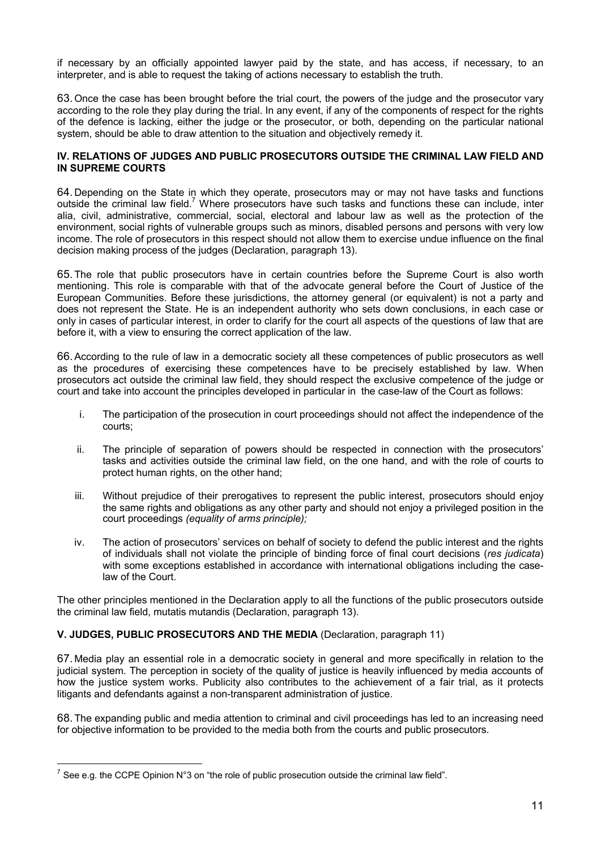if necessary by an officially appointed lawyer paid by the state, and has access, if necessary, to an interpreter, and is able to request the taking of actions necessary to establish the truth.

63.Once the case has been brought before the trial court, the powers of the judge and the prosecutor vary according to the role they play during the trial. In any event, if any of the components of respect for the rights of the defence is lacking, either the judge or the prosecutor, or both, depending on the particular national system, should be able to draw attention to the situation and objectively remedy it.

#### **IV. RELATIONS OF JUDGES AND PUBLIC PROSECUTORS OUTSIDE THE CRIMINAL LAW FIELD AND IN SUPREME COURTS**

64. Depending on the State in which they operate, prosecutors may or may not have tasks and functions outside the criminal law field.<sup>[7](#page-10-0)</sup> Where prosecutors have such tasks and functions these can include, inter alia, civil, administrative, commercial, social, electoral and labour law as well as the protection of the environment, social rights of vulnerable groups such as minors, disabled persons and persons with very low income. The role of prosecutors in this respect should not allow them to exercise undue influence on the final decision making process of the judges (Declaration, paragraph 13).

65.The role that public prosecutors have in certain countries before the Supreme Court is also worth mentioning. This role is comparable with that of the advocate general before the Court of Justice of the European Communities. Before these jurisdictions, the attorney general (or equivalent) is not a party and does not represent the State. He is an independent authority who sets down conclusions, in each case or only in cases of particular interest, in order to clarify for the court all aspects of the questions of law that are before it, with a view to ensuring the correct application of the law.

66.According to the rule of law in a democratic society all these competences of public prosecutors as well as the procedures of exercising these competences have to be precisely established by law. When prosecutors act outside the criminal law field, they should respect the exclusive competence of the judge or court and take into account the principles developed in particular in the case-law of the Court as follows:

- i. The participation of the prosecution in court proceedings should not affect the independence of the courts;
- ii. The principle of separation of powers should be respected in connection with the prosecutors' tasks and activities outside the criminal law field, on the one hand, and with the role of courts to protect human rights, on the other hand;
- iii. Without prejudice of their prerogatives to represent the public interest, prosecutors should enjoy the same rights and obligations as any other party and should not enjoy a privileged position in the court proceedings *(equality of arms principle);*
- iv. The action of prosecutors' services on behalf of society to defend the public interest and the rights of individuals shall not violate the principle of binding force of final court decisions (*res judicata*) with some exceptions established in accordance with international obligations including the caselaw of the Court.

The other principles mentioned in the Declaration apply to all the functions of the public prosecutors outside the criminal law field, mutatis mutandis (Declaration, paragraph 13).

## **V. JUDGES, PUBLIC PROSECUTORS AND THE MEDIA** (Declaration, paragraph 11)

67. Media play an essential role in a democratic society in general and more specifically in relation to the judicial system. The perception in society of the quality of justice is heavily influenced by media accounts of how the justice system works. Publicity also contributes to the achievement of a fair trial, as it protects litigants and defendants against a non-transparent administration of justice.

68.The expanding public and media attention to criminal and civil proceedings has led to an increasing need for objective information to be provided to the media both from the courts and public prosecutors.

<u>.</u>

<span id="page-10-0"></span><sup>&</sup>lt;sup>7</sup> See e.g. the CCPE Opinion N°3 on "the role of public prosecution outside the criminal law field".